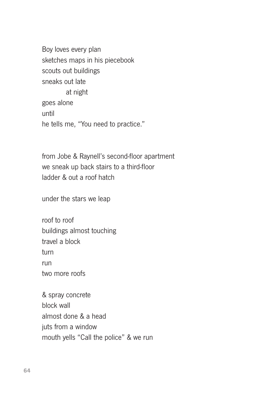Boy loves every plan sketches maps in his piecebook scouts out buildings sneaks out late at night goes alone until he tells me, "You need to practice."

from Jobe & Raynell's second-floor apartment we sneak up back stairs to a third-floor ladder & out a roof hatch

under the stars we leap

roof to roof buildings almost touching travel a block turn run two more roofs

& spray concrete block wall almost done & a head juts from a window mouth yells "Call the police" & we run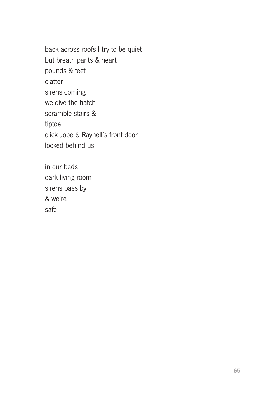back across roofs I try to be quiet but breath pants & heart pounds & feet clatter sirens coming we dive the hatch scramble stairs & tiptoe click Jobe & Raynell's front door locked behind us

in our beds dark living room sirens pass by & we're safe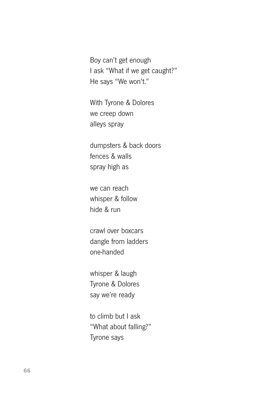Boy can't get enough I ask "What if we get caught?" He says "We won't."

With Tyrone & Dolores we creep down alleys spray

dumpsters & back doors fences & walls spray high as

we can reach whisper & follow hide & run

crawl over boxcars dangle from ladders one-handed

whisper & laugh Tyrone & Dolores say we're ready

to climb but I ask "What about falling?" Tyrone says